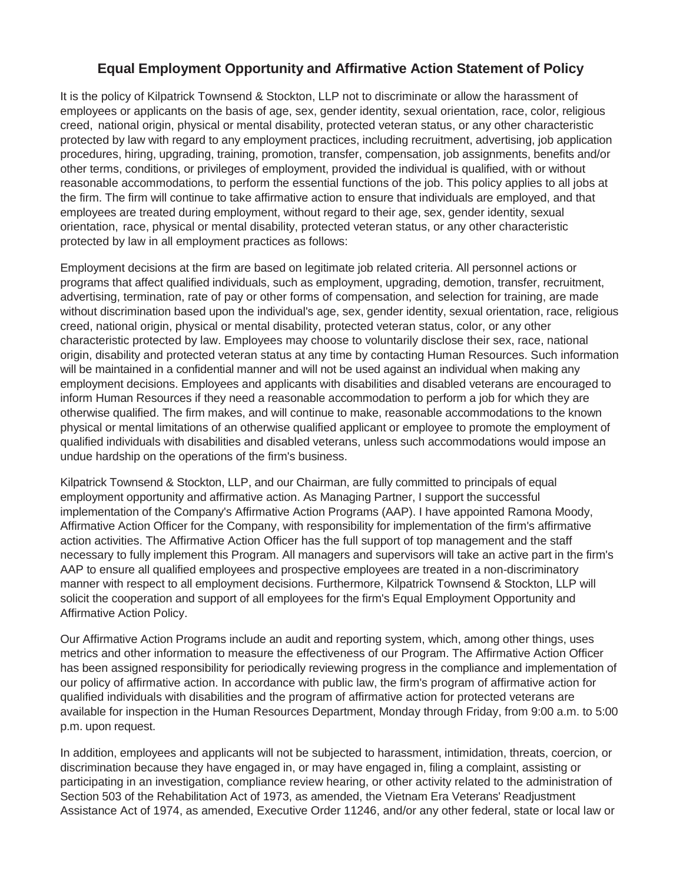## **Equal Employment Opportunity and Affirmative Action Statement of Policy**

It is the policy of Kilpatrick Townsend & Stockton, LLP not to discriminate or allow the harassment of employees or applicants on the basis of age, sex, gender identity, sexual orientation, race, color, religious creed, national origin, physical or mental disability, protected veteran status, or any other characteristic protected by law with regard to any employment practices, including recruitment, advertising, job application procedures, hiring, upgrading, training, promotion, transfer, compensation, job assignments, benefits and/or other terms, conditions, or privileges of employment, provided the individual is qualified, with or without reasonable accommodations, to perform the essential functions of the job. This policy applies to all jobs at the firm. The firm will continue to take affirmative action to ensure that individuals are employed, and that employees are treated during employment, without regard to their age, sex, gender identity, sexual orientation, race, physical or mental disability, protected veteran status, or any other characteristic protected by law in all employment practices as follows:

Employment decisions at the firm are based on legitimate job related criteria. All personnel actions or programs that affect qualified individuals, such as employment, upgrading, demotion, transfer, recruitment, advertising, termination, rate of pay or other forms of compensation, and selection for training, are made without discrimination based upon the individual's age, sex, gender identity, sexual orientation, race, religious creed, national origin, physical or mental disability, protected veteran status, color, or any other characteristic protected by law. Employees may choose to voluntarily disclose their sex, race, national origin, disability and protected veteran status at any time by contacting Human Resources. Such information will be maintained in a confidential manner and will not be used against an individual when making any employment decisions. Employees and applicants with disabilities and disabled veterans are encouraged to inform Human Resources if they need a reasonable accommodation to perform a job for which they are otherwise qualified. The firm makes, and will continue to make, reasonable accommodations to the known physical or mental limitations of an otherwise qualified applicant or employee to promote the employment of qualified individuals with disabilities and disabled veterans, unless such accommodations would impose an undue hardship on the operations of the firm's business.

Kilpatrick Townsend & Stockton, LLP, and our Chairman, are fully committed to principals of equal employment opportunity and affirmative action. As Managing Partner, I support the successful implementation of the Company's Affirmative Action Programs (AAP). I have appointed Ramona Moody, Affirmative Action Officer for the Company, with responsibility for implementation of the firm's affirmative action activities. The Affirmative Action Officer has the full support of top management and the staff necessary to fully implement this Program. All managers and supervisors will take an active part in the firm's AAP to ensure all qualified employees and prospective employees are treated in a non-discriminatory manner with respect to all employment decisions. Furthermore, Kilpatrick Townsend & Stockton, LLP will solicit the cooperation and support of all employees for the firm's Equal Employment Opportunity and Affirmative Action Policy.

Our Affirmative Action Programs include an audit and reporting system, which, among other things, uses metrics and other information to measure the effectiveness of our Program. The Affirmative Action Officer has been assigned responsibility for periodically reviewing progress in the compliance and implementation of our policy of affirmative action. In accordance with public law, the firm's program of affirmative action for qualified individuals with disabilities and the program of affirmative action for protected veterans are available for inspection in the Human Resources Department, Monday through Friday, from 9:00 a.m. to 5:00 p.m. upon request.

In addition, employees and applicants will not be subjected to harassment, intimidation, threats, coercion, or discrimination because they have engaged in, or may have engaged in, filing a complaint, assisting or participating in an investigation, compliance review hearing, or other activity related to the administration of Section 503 of the Rehabilitation Act of 1973, as amended, the Vietnam Era Veterans' Readjustment Assistance Act of 1974, as amended, Executive Order 11246, and/or any other federal, state or local law or